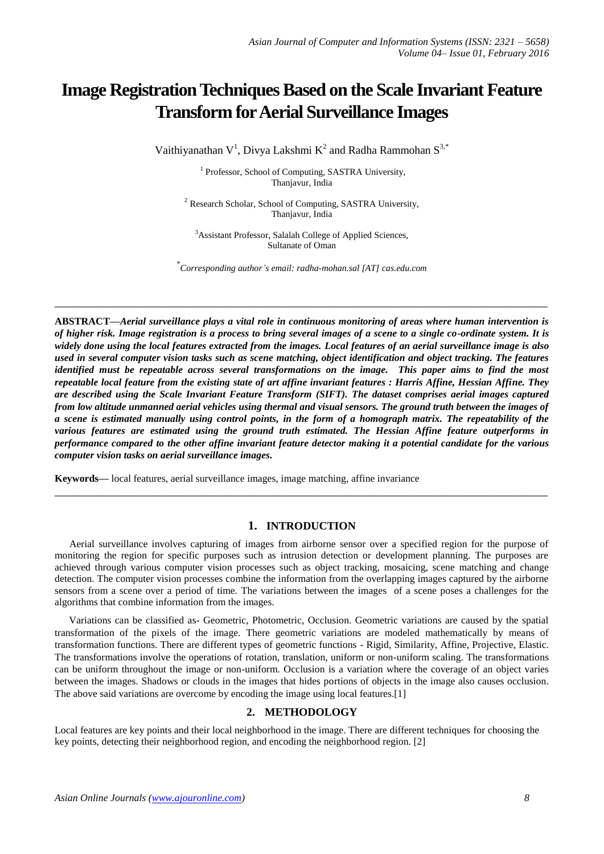# **Image Registration Techniques Based on the Scale Invariant Feature Transform for Aerial Surveillance Images**

Vaithiyanathan  $V^1$ , Divya Lakshmi  $K^2$  and Radha Rammohan  $S^{3,*}$ 

<sup>1</sup> Professor, School of Computing, SASTRA University, Thanjavur, India

<sup>2</sup> Research Scholar, School of Computing, SASTRA University, Thanjavur, India

<sup>3</sup>Assistant Professor, Salalah College of Applied Sciences, Sultanate of Oman

\* *Corresponding author's email: radha-mohan.sal [AT] cas.edu.com*

**\_\_\_\_\_\_\_\_\_\_\_\_\_\_\_\_\_\_\_\_\_\_\_\_\_\_\_\_\_\_\_\_\_\_\_\_\_\_\_\_\_\_\_\_\_\_\_\_\_\_\_\_\_\_\_\_\_\_\_\_\_\_\_\_\_\_\_\_\_\_\_\_\_\_\_\_\_\_\_\_\_**

**ABSTRACT—***Aerial surveillance plays a vital role in continuous monitoring of areas where human intervention is of higher risk. Image registration is a process to bring several images of a scene to a single co-ordinate system. It is widely done using the local features extracted from the images. Local features of an aerial surveillance image is also used in several computer vision tasks such as scene matching, object identification and object tracking. The features identified must be repeatable across several transformations on the image. This paper aims to find the most repeatable local feature from the existing state of art affine invariant features : Harris Affine, Hessian Affine. They are described using the Scale Invariant Feature Transform (SIFT). The dataset comprises aerial images captured from low altitude unmanned aerial vehicles using thermal and visual sensors. The ground truth between the images of a scene is estimated manually using control points, in the form of a homograph matrix. The repeatability of the various features are estimated using the ground truth estimated. The Hessian Affine feature outperforms in performance compared to the other affine invariant feature detector making it a potential candidate for the various computer vision tasks on aerial surveillance images.*

**Keywords—** local features, aerial surveillance images, image matching, affine invariance

### **1. INTRODUCTION**

**\_\_\_\_\_\_\_\_\_\_\_\_\_\_\_\_\_\_\_\_\_\_\_\_\_\_\_\_\_\_\_\_\_\_\_\_\_\_\_\_\_\_\_\_\_\_\_\_\_\_\_\_\_\_\_\_\_\_\_\_\_\_\_\_\_\_\_\_\_\_\_\_\_\_\_\_\_\_\_\_\_**

Aerial surveillance involves capturing of images from airborne sensor over a specified region for the purpose of monitoring the region for specific purposes such as intrusion detection or development planning. The purposes are achieved through various computer vision processes such as object tracking, mosaicing, scene matching and change detection. The computer vision processes combine the information from the overlapping images captured by the airborne sensors from a scene over a period of time. The variations between the images of a scene poses a challenges for the algorithms that combine information from the images.

Variations can be classified as- Geometric, Photometric, Occlusion. Geometric variations are caused by the spatial transformation of the pixels of the image. There geometric variations are modeled mathematically by means of transformation functions. There are different types of geometric functions - Rigid, Similarity, Affine, Projective, Elastic. The transformations involve the operations of rotation, translation, uniform or non-uniform scaling. The transformations can be uniform throughout the image or non-uniform. Occlusion is a variation where the coverage of an object varies between the images. Shadows or clouds in the images that hides portions of objects in the image also causes occlusion. The above said variations are overcome by encoding the image using local features.[1]

## **2. METHODOLOGY**

Local features are key points and their local neighborhood in the image. There are different techniques for choosing the key points, detecting their neighborhood region, and encoding the neighborhood region. [2]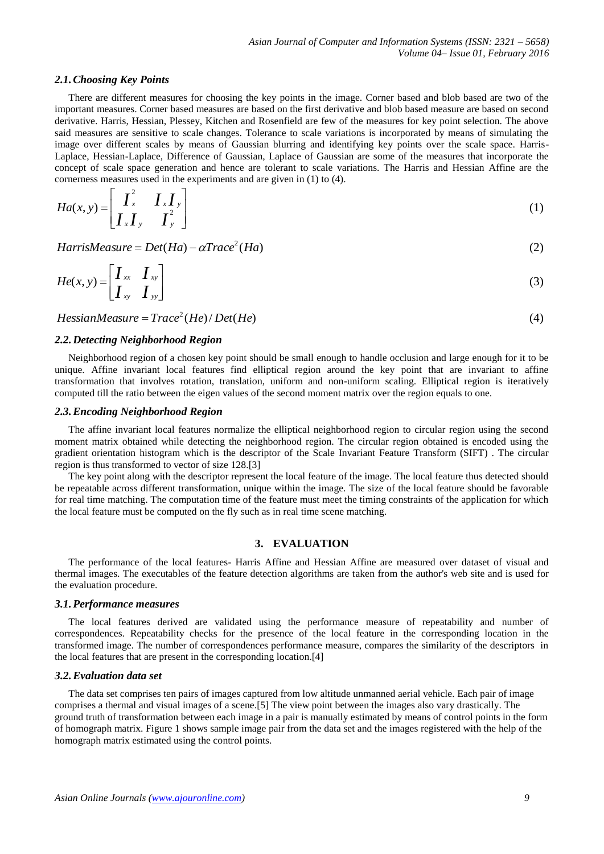#### *2.1.Choosing Key Points*

There are different measures for choosing the key points in the image. Corner based and blob based are two of the important measures. Corner based measures are based on the first derivative and blob based measure are based on second derivative. Harris, Hessian, Plessey, Kitchen and Rosenfield are few of the measures for key point selection. The above said measures are sensitive to scale changes. Tolerance to scale variations is incorporated by means of simulating the image over different scales by means of Gaussian blurring and identifying key points over the scale space. Harris-Laplace, Hessian-Laplace, Difference of Gaussian, Laplace of Gaussian are some of the measures that incorporate the concept of scale space generation and hence are tolerant to scale variations. The Harris and Hessian Affine are the cornerness measures used in the experiments and are given in (1) to (4).

$$
Ha(x, y) = \begin{bmatrix} I_x^2 & I_x I_y \\ I_x I_y & I_y^2 \end{bmatrix}
$$
 (1)

 $HarrisMeasure = Det(Ha) - \alpha Trace^{2}(Ha)$  (2)

$$
He(x, y) = \begin{bmatrix} I_{xx} & I_{xy} \\ I_{xy} & I_{yy} \end{bmatrix}
$$
 (3)

 $HessianMeasure = Trace<sup>2</sup>(He)/Det(He)$  (4)

## *2.2.Detecting Neighborhood Region*

Neighborhood region of a chosen key point should be small enough to handle occlusion and large enough for it to be unique. Affine invariant local features find elliptical region around the key point that are invariant to affine transformation that involves rotation, translation, uniform and non-uniform scaling. Elliptical region is iteratively computed till the ratio between the eigen values of the second moment matrix over the region equals to one.

#### *2.3.Encoding Neighborhood Region*

The affine invariant local features normalize the elliptical neighborhood region to circular region using the second moment matrix obtained while detecting the neighborhood region. The circular region obtained is encoded using the gradient orientation histogram which is the descriptor of the Scale Invariant Feature Transform (SIFT) . The circular region is thus transformed to vector of size 128.[3]

The key point along with the descriptor represent the local feature of the image. The local feature thus detected should be repeatable across different transformation, unique within the image. The size of the local feature should be favorable for real time matching. The computation time of the feature must meet the timing constraints of the application for which the local feature must be computed on the fly such as in real time scene matching.

#### **3. EVALUATION**

The performance of the local features- Harris Affine and Hessian Affine are measured over dataset of visual and thermal images. The executables of the feature detection algorithms are taken from the author's web site and is used for the evaluation procedure.

#### *3.1.Performance measures*

The local features derived are validated using the performance measure of repeatability and number of correspondences. Repeatability checks for the presence of the local feature in the corresponding location in the transformed image. The number of correspondences performance measure, compares the similarity of the descriptors in the local features that are present in the corresponding location.[4]

#### *3.2.Evaluation data set*

The data set comprises ten pairs of images captured from low altitude unmanned aerial vehicle. Each pair of image comprises a thermal and visual images of a scene.[5] The view point between the images also vary drastically. The ground truth of transformation between each image in a pair is manually estimated by means of control points in the form of homograph matrix. Figure 1 shows sample image pair from the data set and the images registered with the help of the homograph matrix estimated using the control points.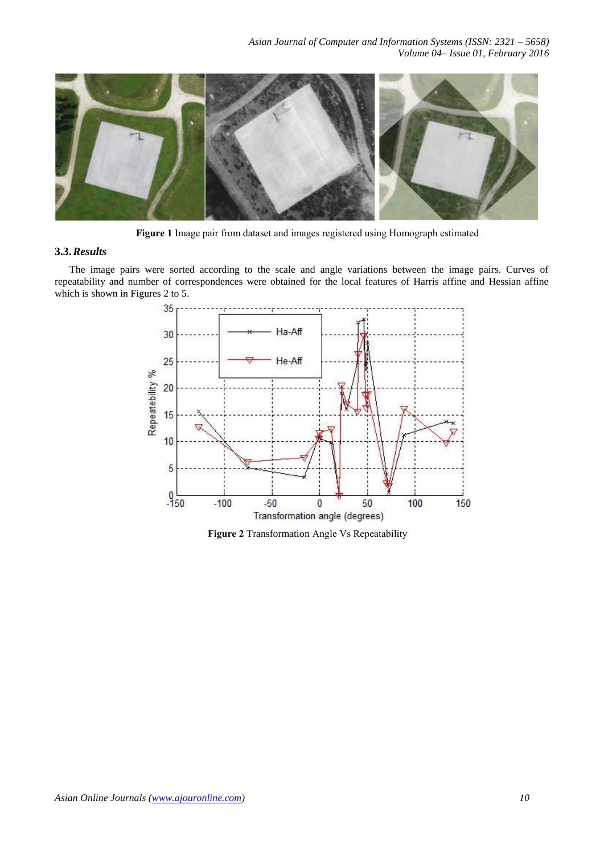

**Figure 1** Image pair from dataset and images registered using Homograph estimated

## **3.3.***Results*

The image pairs were sorted according to the scale and angle variations between the image pairs. Curves of repeatability and number of correspondences were obtained for the local features of Harris affine and Hessian affine which is shown in Figures 2 to 5.



**Figure 2** Transformation Angle Vs Repeatability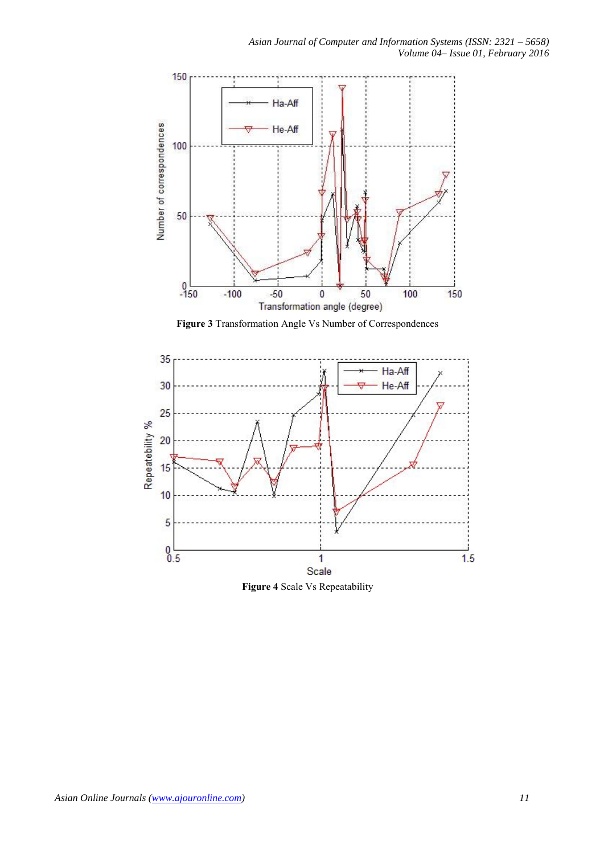

**Figure 3** Transformation Angle Vs Number of Correspondences



**Figure 4** Scale Vs Repeatability